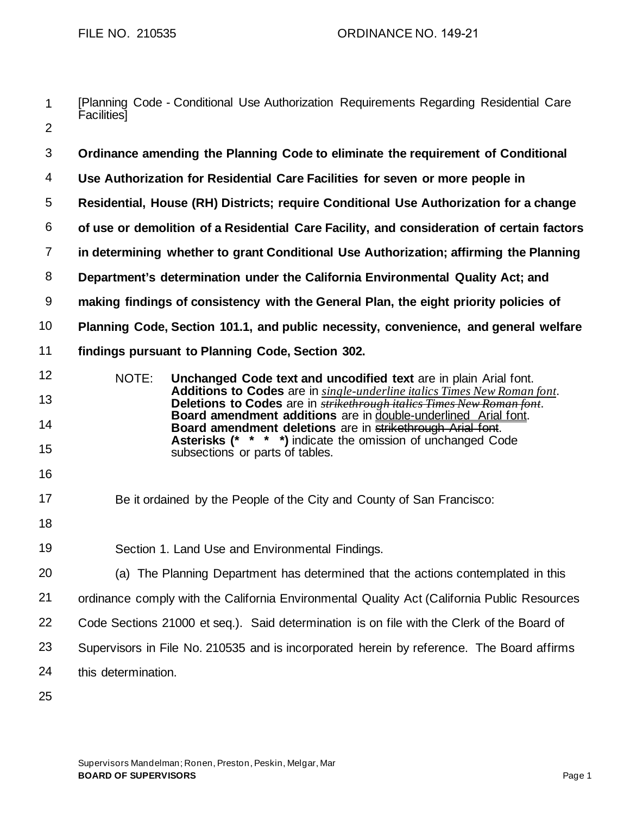|   |                   |  |  | [Planning Code - Conditional Use Authorization Requirements Regarding Residential Care |  |  |
|---|-------------------|--|--|----------------------------------------------------------------------------------------|--|--|
|   | <b>Facilities</b> |  |  |                                                                                        |  |  |
| ⌒ |                   |  |  |                                                                                        |  |  |

| 3              | Ordinance amending the Planning Code to eliminate the requirement of Conditional                                                                                                                   |  |  |  |  |  |
|----------------|----------------------------------------------------------------------------------------------------------------------------------------------------------------------------------------------------|--|--|--|--|--|
| 4              | Use Authorization for Residential Care Facilities for seven or more people in                                                                                                                      |  |  |  |  |  |
| 5              | Residential, House (RH) Districts; require Conditional Use Authorization for a change                                                                                                              |  |  |  |  |  |
| 6              | of use or demolition of a Residential Care Facility, and consideration of certain factors                                                                                                          |  |  |  |  |  |
| $\overline{7}$ | in determining whether to grant Conditional Use Authorization; affirming the Planning                                                                                                              |  |  |  |  |  |
| 8              | Department's determination under the California Environmental Quality Act; and                                                                                                                     |  |  |  |  |  |
| $9\,$          | making findings of consistency with the General Plan, the eight priority policies of                                                                                                               |  |  |  |  |  |
| 10             | Planning Code, Section 101.1, and public necessity, convenience, and general welfare                                                                                                               |  |  |  |  |  |
| 11             | findings pursuant to Planning Code, Section 302.                                                                                                                                                   |  |  |  |  |  |
| 12             | NOTE:<br>Unchanged Code text and uncodified text are in plain Arial font.                                                                                                                          |  |  |  |  |  |
| 13             | Additions to Codes are in single-underline italics Times New Roman font.<br>Deletions to Codes are in <b>strikethrough italics Times New Roman font</b> .                                          |  |  |  |  |  |
| 14             | Board amendment additions are in double-underlined Arial font.<br>Board amendment deletions are in strikethrough Arial font.<br><b>Asterisks (* * * *)</b> indicate the omission of unchanged Code |  |  |  |  |  |
| 15             | subsections or parts of tables.                                                                                                                                                                    |  |  |  |  |  |
| 16             |                                                                                                                                                                                                    |  |  |  |  |  |
| 17             | Be it ordained by the People of the City and County of San Francisco:                                                                                                                              |  |  |  |  |  |
| 18             |                                                                                                                                                                                                    |  |  |  |  |  |
| 19             | Section 1. Land Use and Environmental Findings.                                                                                                                                                    |  |  |  |  |  |
| 20             | (a) The Planning Department has determined that the actions contemplated in this                                                                                                                   |  |  |  |  |  |
| 21             | ordinance comply with the California Environmental Quality Act (California Public Resources                                                                                                        |  |  |  |  |  |
| 22             | Code Sections 21000 et seq.). Said determination is on file with the Clerk of the Board of                                                                                                         |  |  |  |  |  |
| 23             | Supervisors in File No. 210535 and is incorporated herein by reference. The Board affirms                                                                                                          |  |  |  |  |  |
| 24             | this determination.                                                                                                                                                                                |  |  |  |  |  |
| 25             |                                                                                                                                                                                                    |  |  |  |  |  |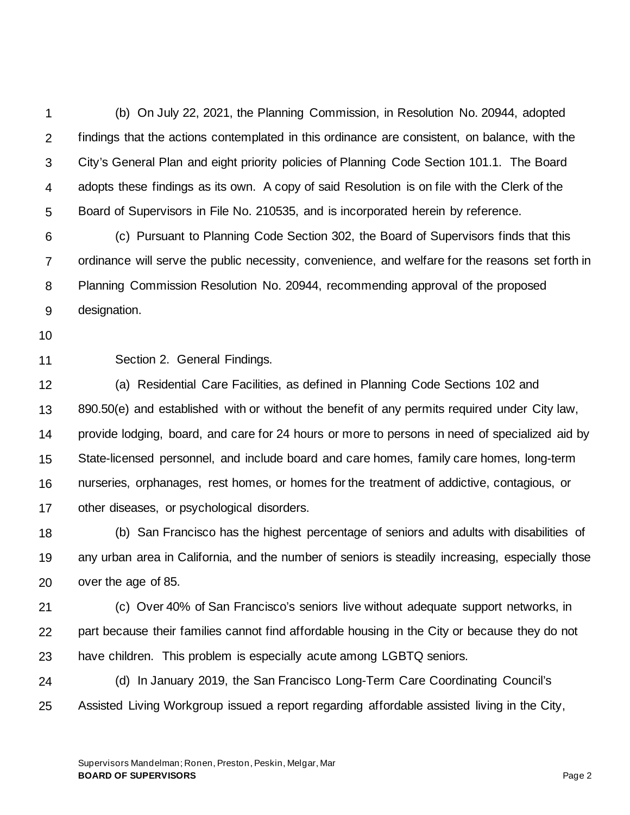1 2 3 4 5 (b) On July 22, 2021, the Planning Commission, in Resolution No. 20944, adopted findings that the actions contemplated in this ordinance are consistent, on balance, with the City's General Plan and eight priority policies of Planning Code Section 101.1. The Board adopts these findings as its own. A copy of said Resolution is on file with the Clerk of the Board of Supervisors in File No. 210535, and is incorporated herein by reference.

6 7 8 9 (c) Pursuant to Planning Code Section 302, the Board of Supervisors finds that this ordinance will serve the public necessity, convenience, and welfare for the reasons set forth in Planning Commission Resolution No. 20944, recommending approval of the proposed designation.

10

11

Section 2. General Findings.

12 13 14 15 16 17 (a) Residential Care Facilities, as defined in Planning Code Sections 102 and 890.50(e) and established with or without the benefit of any permits required under City law, provide lodging, board, and care for 24 hours or more to persons in need of specialized aid by State-licensed personnel, and include board and care homes, family care homes, long-term nurseries, orphanages, rest homes, or homes for the treatment of addictive, contagious, or other diseases, or psychological disorders.

18 19 20 (b) San Francisco has the highest percentage of seniors and adults with disabilities of any urban area in California, and the number of seniors is steadily increasing, especially those over the age of 85.

21 22 23 (c) Over 40% of San Francisco's seniors live without adequate support networks, in part because their families cannot find affordable housing in the City or because they do not have children. This problem is especially acute among LGBTQ seniors.

24 25 (d) In January 2019, the San Francisco Long-Term Care Coordinating Council's Assisted Living Workgroup issued a report regarding affordable assisted living in the City,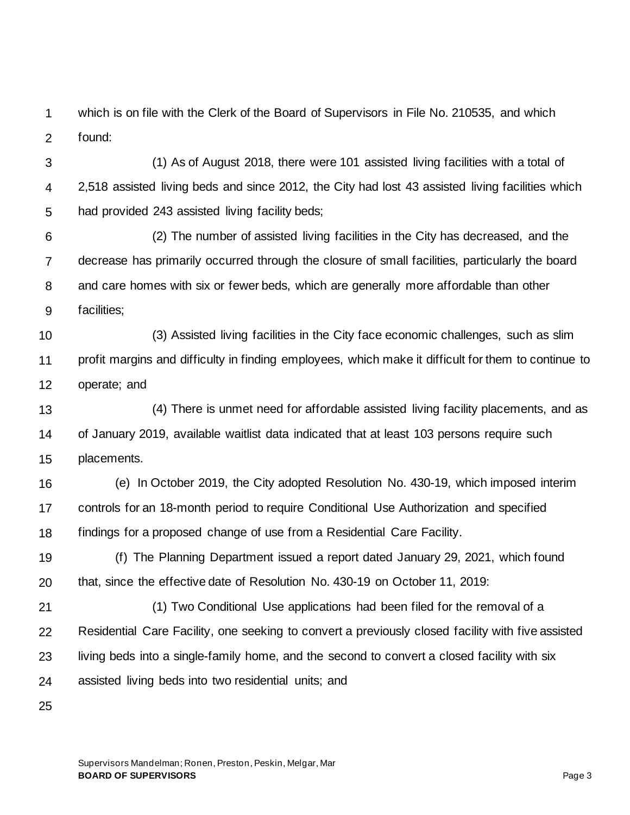1 2 which is on file with the Clerk of the Board of Supervisors in File No. 210535, and which found:

3 4 5 (1) As of August 2018, there were 101 assisted living facilities with a total of 2,518 assisted living beds and since 2012, the City had lost 43 assisted living facilities which had provided 243 assisted living facility beds;

6 7 8 9 (2) The number of assisted living facilities in the City has decreased, and the decrease has primarily occurred through the closure of small facilities, particularly the board and care homes with six or fewer beds, which are generally more affordable than other facilities;

10 11 12 (3) Assisted living facilities in the City face economic challenges, such as slim profit margins and difficulty in finding employees, which make it difficult for them to continue to operate; and

13 14 15 (4) There is unmet need for affordable assisted living facility placements, and as of January 2019, available waitlist data indicated that at least 103 persons require such placements.

16 17 18 (e) In October 2019, the City adopted Resolution No. 430-19, which imposed interim controls for an 18-month period to require Conditional Use Authorization and specified findings for a proposed change of use from a Residential Care Facility.

19 20 (f) The Planning Department issued a report dated January 29, 2021, which found that, since the effective date of Resolution No. 430-19 on October 11, 2019:

21 22 23 24 (1) Two Conditional Use applications had been filed for the removal of a Residential Care Facility, one seeking to convert a previously closed facility with five assisted living beds into a single-family home, and the second to convert a closed facility with six assisted living beds into two residential units; and

25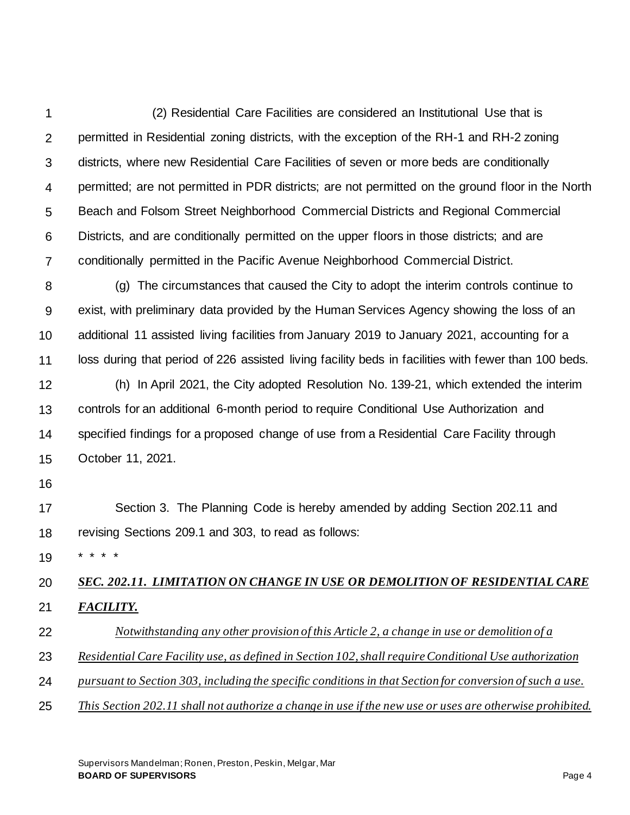1 2 3 4 5 6 7 (2) Residential Care Facilities are considered an Institutional Use that is permitted in Residential zoning districts, with the exception of the RH-1 and RH-2 zoning districts, where new Residential Care Facilities of seven or more beds are conditionally permitted; are not permitted in PDR districts; are not permitted on the ground floor in the North Beach and Folsom Street Neighborhood Commercial Districts and Regional Commercial Districts, and are conditionally permitted on the upper floors in those districts; and are conditionally permitted in the Pacific Avenue Neighborhood Commercial District.

8 9 10 11 12 (g) The circumstances that caused the City to adopt the interim controls continue to exist, with preliminary data provided by the Human Services Agency showing the loss of an additional 11 assisted living facilities from January 2019 to January 2021, accounting for a loss during that period of 226 assisted living facility beds in facilities with fewer than 100 beds. (h) In April 2021, the City adopted Resolution No. 139-21, which extended the interim

13 14 15 controls for an additional 6-month period to require Conditional Use Authorization and specified findings for a proposed change of use from a Residential Care Facility through October 11, 2021.

16

17 18 Section 3. The Planning Code is hereby amended by adding Section 202.11 and revising Sections 209.1 and 303, to read as follows:

19 \* \* \* \*

## 20 21 *SEC. 202.11. LIMITATION ON CHANGE IN USE OR DEMOLITION OF RESIDENTIAL CARE FACILITY.*

- 22 *Notwithstanding any other provision of this Article 2, a change in use or demolition of a*
- 23 *Residential Care Facility use, as defined in Section 102, shall require Conditional Use authorization*
- 24 *pursuant to Section 303, including the specific conditions in that Section for conversion of such a use.*
- 25 *This Section 202.11 shall not authorize a change in use if the new use or uses are otherwise prohibited.*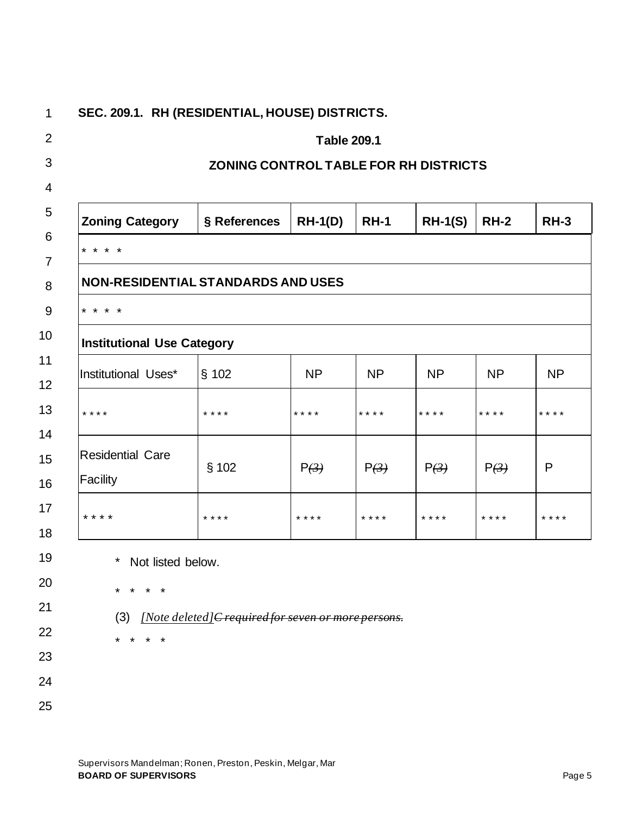| <b>Table 209.1</b>                             |                                                     |                |             |           |             |           |  |  |  |  |
|------------------------------------------------|-----------------------------------------------------|----------------|-------------|-----------|-------------|-----------|--|--|--|--|
|                                                | ZONING CONTROL TABLE FOR RH DISTRICTS               |                |             |           |             |           |  |  |  |  |
| <b>Zoning Category</b>                         | § References                                        | <b>RH-1(D)</b> | <b>RH-1</b> | $RH-1(S)$ | <b>RH-2</b> | $RH-3$    |  |  |  |  |
| ¥<br>$* * *$                                   |                                                     |                |             |           |             |           |  |  |  |  |
| <b>NON-RESIDENTIAL STANDARDS AND USES</b>      |                                                     |                |             |           |             |           |  |  |  |  |
| * * * *                                        |                                                     |                |             |           |             |           |  |  |  |  |
| <b>Institutional Use Category</b>              |                                                     |                |             |           |             |           |  |  |  |  |
| Institutional Uses*                            | $§$ 102                                             | <b>NP</b>      | <b>NP</b>   | <b>NP</b> | <b>NP</b>   | <b>NP</b> |  |  |  |  |
| * * * *                                        | * * * *                                             | * * * *        | * * * *     | $* * * *$ | * * * *     | ****      |  |  |  |  |
| <b>Residential Care</b><br><b>Facility</b>     | $§$ 102                                             | P(3)           | P(3)        | P(3)      | P(3)        | P         |  |  |  |  |
| * * * *                                        | * * * *                                             | * * * *        | * * * *     | * * * *   | * * * *     | * * * *   |  |  |  |  |
| $\star$<br>Not listed below.<br>(3)<br>$\star$ | [Note deleted] Crequired for seven or more persons. |                |             |           |             |           |  |  |  |  |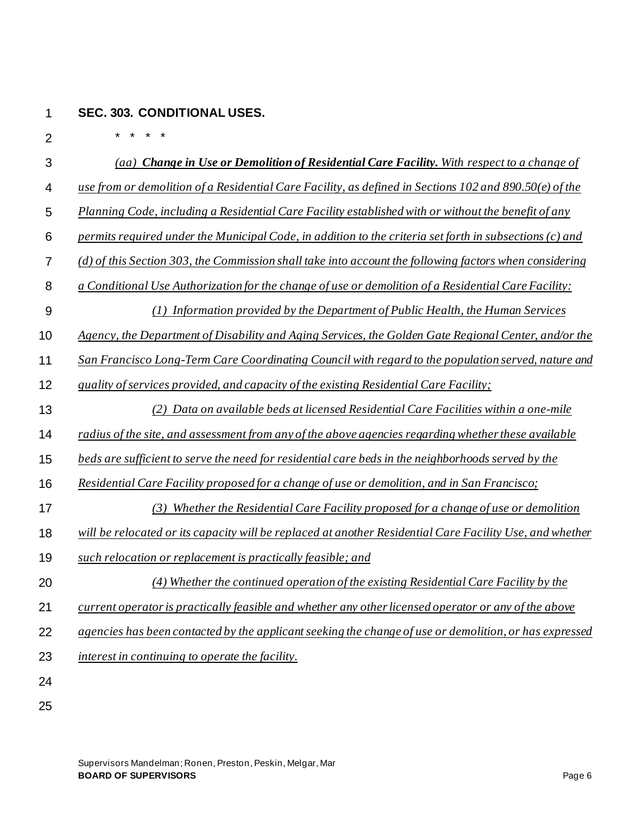## 1 **SEC. 303. CONDITIONAL USES.**

2 3 4 5 6 7 8 9 10 11 12 13 14 15 16 17 18 19 20 21 \* \* \* \* *(aa) Change in Use or Demolition of Residential Care Facility. With respect to a change of use from or demolition of a Residential Care Facility, as defined in Sections 102 and 890.50(e) of the Planning Code, including a Residential Care Facility established with or without the benefit of any permits required under the Municipal Code, in addition to the criteria set forth in subsections (c) and (d) of this Section 303, the Commission shall take into account the following factors when considering a Conditional Use Authorization for the change of use or demolition of a Residential Care Facility: (1) Information provided by the Department of Public Health, the Human Services Agency, the Department of Disability and Aging Services, the Golden Gate Regional Center, and/or the San Francisco Long-Term Care Coordinating Council with regard to the population served, nature and quality of services provided, and capacity of the existing Residential Care Facility; (2) Data on available beds at licensed Residential Care Facilities within a one-mile radius of the site, and assessment from any of the above agencies regarding whether these available beds are sufficient to serve the need for residential care beds in the neighborhoods served by the Residential Care Facility proposed for a change of use or demolition, and in San Francisco; (3) Whether the Residential Care Facility proposed for a change of use or demolition will be relocated or its capacity will be replaced at another Residential Care Facility Use, and whether such relocation or replacement is practically feasible; and (4) Whether the continued operation of the existing Residential Care Facility by the current operator is practically feasible and whether any otherlicensed operator or any of the above* 

- 22 *agencies has been contacted by the applicant seeking the change of use or demolition, or has expressed*
- 23 *interest in continuing to operate the facility.*
- 24 25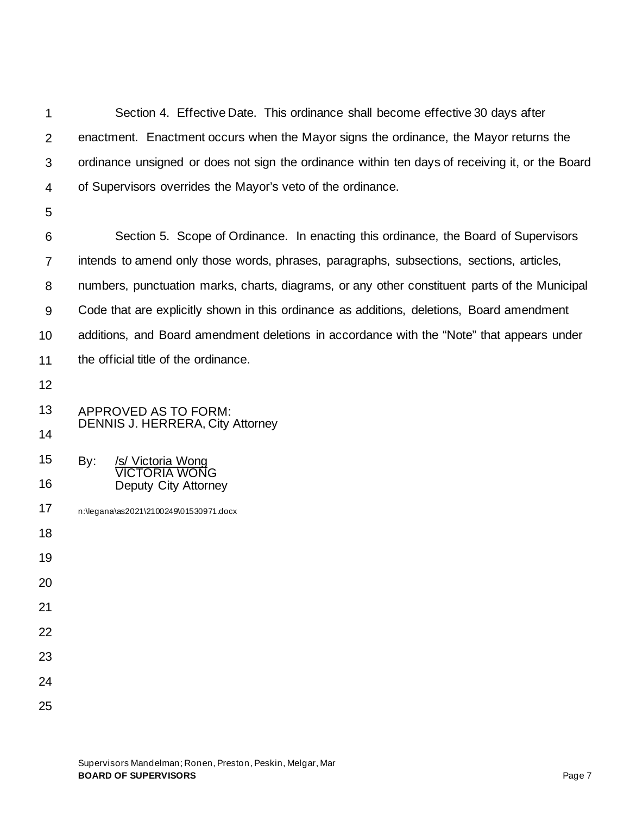| 1              | Section 4. Effective Date. This ordinance shall become effective 30 days after                  |  |  |  |  |  |  |
|----------------|-------------------------------------------------------------------------------------------------|--|--|--|--|--|--|
| $\overline{2}$ | enactment. Enactment occurs when the Mayor signs the ordinance, the Mayor returns the           |  |  |  |  |  |  |
| 3              | ordinance unsigned or does not sign the ordinance within ten days of receiving it, or the Board |  |  |  |  |  |  |
| 4              | of Supervisors overrides the Mayor's veto of the ordinance.                                     |  |  |  |  |  |  |
| 5              |                                                                                                 |  |  |  |  |  |  |
| 6              | Section 5. Scope of Ordinance. In enacting this ordinance, the Board of Supervisors             |  |  |  |  |  |  |
| 7              | intends to amend only those words, phrases, paragraphs, subsections, sections, articles,        |  |  |  |  |  |  |
| 8              | numbers, punctuation marks, charts, diagrams, or any other constituent parts of the Municipal   |  |  |  |  |  |  |
| 9              | Code that are explicitly shown in this ordinance as additions, deletions, Board amendment       |  |  |  |  |  |  |
| 10             | additions, and Board amendment deletions in accordance with the "Note" that appears under       |  |  |  |  |  |  |
| 11             | the official title of the ordinance.                                                            |  |  |  |  |  |  |
| 12             |                                                                                                 |  |  |  |  |  |  |
| 13             | APPROVED AS TO FORM:                                                                            |  |  |  |  |  |  |
| 14             | <b>DENNIS J. HERRERA, City Attorney</b>                                                         |  |  |  |  |  |  |
| 15             | /s/ Victoria Wong<br>By:<br><b>VICTORIA WONG</b>                                                |  |  |  |  |  |  |
| 16             | Deputy City Attorney                                                                            |  |  |  |  |  |  |
| 17             | n:\legana\as2021\2100249\01530971.docx                                                          |  |  |  |  |  |  |
| 18             |                                                                                                 |  |  |  |  |  |  |
| 19             |                                                                                                 |  |  |  |  |  |  |
| 20             |                                                                                                 |  |  |  |  |  |  |
| 21             |                                                                                                 |  |  |  |  |  |  |
| 22             |                                                                                                 |  |  |  |  |  |  |
| 23             |                                                                                                 |  |  |  |  |  |  |
| 24             |                                                                                                 |  |  |  |  |  |  |
| 25             |                                                                                                 |  |  |  |  |  |  |